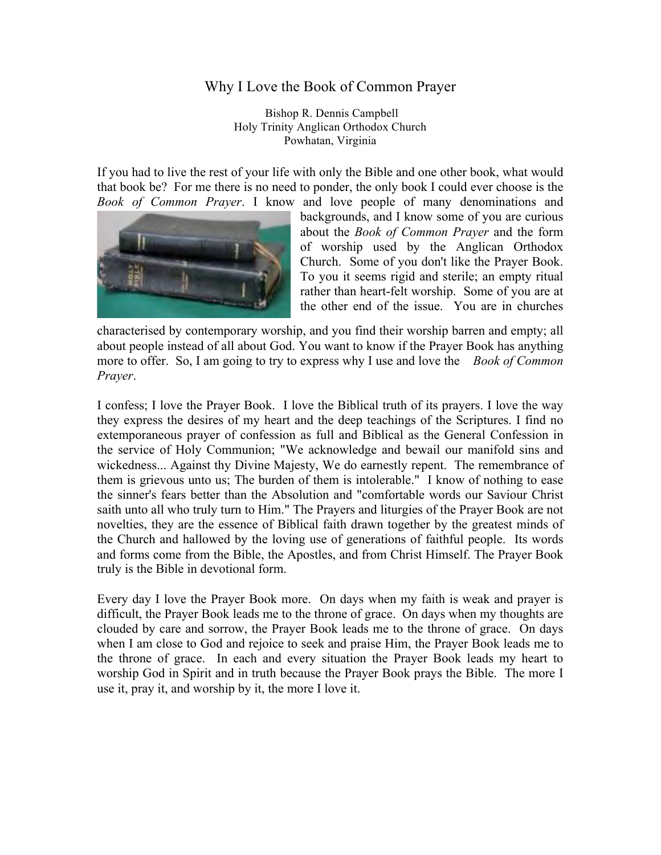## Why I Love the Book of Common Prayer

 Bishop R. Dennis Campbell Holy Trinity Anglican Orthodox Church Powhatan, Virginia

If you had to live the rest of your life with only the Bible and one other book, what would that book be? For me there is no need to ponder, the only book I could ever choose is the *Book of Common Prayer*. I know and love people of many denominations and



backgrounds, and I know some of you are curious about the *Book of Common Prayer* and the form of worship used by the Anglican Orthodox Church. Some of you don't like the Prayer Book. To you it seems rigid and sterile; an empty ritual rather than heart-felt worship. Some of you are at the other end of the issue. You are in churches

characterised by contemporary worship, and you find their worship barren and empty; all about people instead of all about God. You want to know if the Prayer Book has anything more to offer. So, I am going to try to express why I use and love the *Book of Common Prayer*.

I confess; I love the Prayer Book. I love the Biblical truth of its prayers. I love the way they express the desires of my heart and the deep teachings of the Scriptures. I find no extemporaneous prayer of confession as full and Biblical as the General Confession in the service of Holy Communion; "We acknowledge and bewail our manifold sins and wickedness... Against thy Divine Majesty, We do earnestly repent. The remembrance of them is grievous unto us; The burden of them is intolerable." I know of nothing to ease the sinner's fears better than the Absolution and "comfortable words our Saviour Christ saith unto all who truly turn to Him." The Prayers and liturgies of the Prayer Book are not novelties, they are the essence of Biblical faith drawn together by the greatest minds of the Church and hallowed by the loving use of generations of faithful people. Its words and forms come from the Bible, the Apostles, and from Christ Himself. The Prayer Book truly is the Bible in devotional form.

Every day I love the Prayer Book more. On days when my faith is weak and prayer is difficult, the Prayer Book leads me to the throne of grace. On days when my thoughts are clouded by care and sorrow, the Prayer Book leads me to the throne of grace. On days when I am close to God and rejoice to seek and praise Him, the Prayer Book leads me to the throne of grace. In each and every situation the Prayer Book leads my heart to worship God in Spirit and in truth because the Prayer Book prays the Bible. The more I use it, pray it, and worship by it, the more I love it.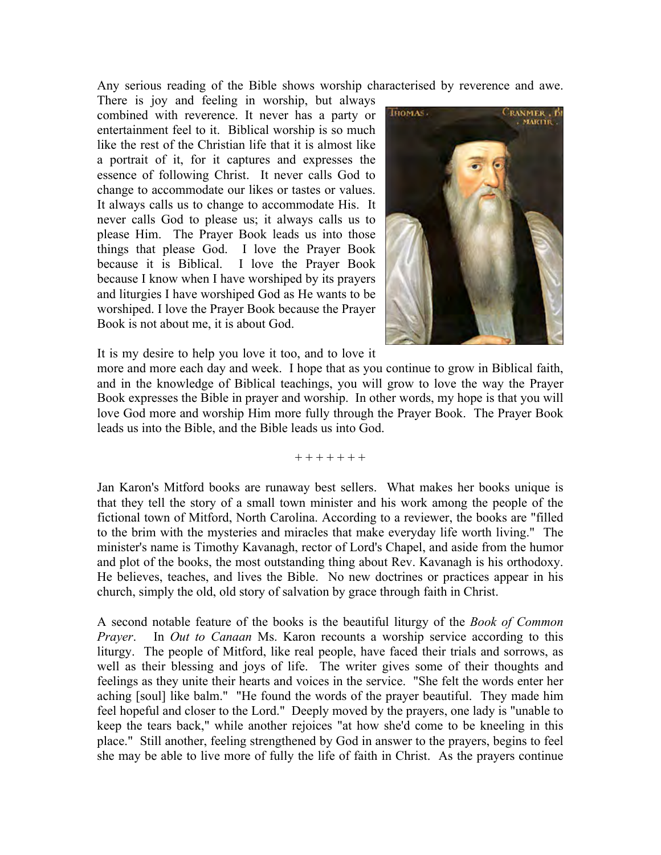Any serious reading of the Bible shows worship characterised by reverence and awe.

There is joy and feeling in worship, but always combined with reverence. It never has a party or entertainment feel to it. Biblical worship is so much like the rest of the Christian life that it is almost like a portrait of it, for it captures and expresses the essence of following Christ. It never calls God to change to accommodate our likes or tastes or values. It always calls us to change to accommodate His. It never calls God to please us; it always calls us to please Him. The Prayer Book leads us into those things that please God. I love the Prayer Book because it is Biblical. I love the Prayer Book because I know when I have worshiped by its prayers and liturgies I have worshiped God as He wants to be worshiped. I love the Prayer Book because the Prayer Book is not about me, it is about God.



It is my desire to help you love it too, and to love it

more and more each day and week. I hope that as you continue to grow in Biblical faith, and in the knowledge of Biblical teachings, you will grow to love the way the Prayer Book expresses the Bible in prayer and worship. In other words, my hope is that you will love God more and worship Him more fully through the Prayer Book. The Prayer Book leads us into the Bible, and the Bible leads us into God.  **Thomas Cranmer (1489-1556)** nue to grow in Biblical

 $+ + + + + + +$ 

Jan Karon's Mitford books are runaway best sellers. What makes her books unique is that they tell the story of a small town minister and his work among the people of the fictional town of Mitford, North Carolina. According to a reviewer, the books are "filled to the brim with the mysteries and miracles that make everyday life worth living." The minister's name is Timothy Kavanagh, rector of Lord's Chapel, and aside from the humor and plot of the books, the most outstanding thing about Rev. Kavanagh is his orthodoxy. He believes, teaches, and lives the Bible. No new doctrines or practices appear in his church, simply the old, old story of salvation by grace through faith in Christ.

A second notable feature of the books is the beautiful liturgy of the *Book of Common Prayer*. In *Out to Canaan* Ms. Karon recounts a worship service according to this liturgy. The people of Mitford, like real people, have faced their trials and sorrows, as well as their blessing and joys of life. The writer gives some of their thoughts and feelings as they unite their hearts and voices in the service. "She felt the words enter her aching [soul] like balm." "He found the words of the prayer beautiful. They made him feel hopeful and closer to the Lord." Deeply moved by the prayers, one lady is "unable to keep the tears back," while another rejoices "at how she'd come to be kneeling in this place." Still another, feeling strengthened by God in answer to the prayers, begins to feel she may be able to live more of fully the life of faith in Christ. As the prayers continue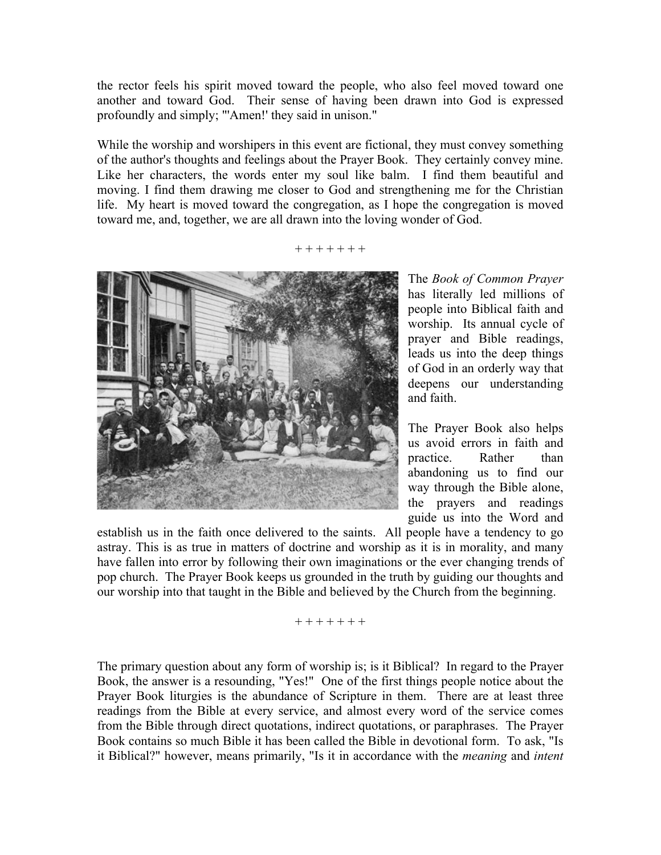the rector feels his spirit moved toward the people, who also feel moved toward one another and toward God. Their sense of having been drawn into God is expressed profoundly and simply; "'Amen!' they said in unison."

While the worship and worshipers in this event are fictional, they must convey something of the author's thoughts and feelings about the Prayer Book. They certainly convey mine. Like her characters, the words enter my soul like balm. I find them beautiful and moving. I find them drawing me closer to God and strengthening me for the Christian life. My heart is moved toward the congregation, as I hope the congregation is moved toward me, and, together, we are all drawn into the loving wonder of God.

+ + + + + + +



The *Book of Common Prayer* has literally led millions of people into Biblical faith and worship. Its annual cycle of prayer and Bible readings, leads us into the deep things of God in an orderly way that deepens our understanding and faith.

The Prayer Book also helps us avoid errors in faith and practice. Rather than abandoning us to find our way through the Bible alone, the prayers and readings guide us into the Word and

establish us in the faith once delivered to the saints. All people have a tendency to go astray. This is as true in matters of doctrine and worship as it is in morality, and many have fallen into error by following their own imaginations or the ever changing trends of pop church. The Prayer Book keeps us grounded in the truth by guiding our thoughts and our worship into that taught in the Bible and believed by the Church from the beginning.

+ + + + + + +

The primary question about any form of worship is; is it Biblical? In regard to the Prayer Book, the answer is a resounding, "Yes!" One of the first things people notice about the Prayer Book liturgies is the abundance of Scripture in them. There are at least three readings from the Bible at every service, and almost every word of the service comes from the Bible through direct quotations, indirect quotations, or paraphrases. The Prayer Book contains so much Bible it has been called the Bible in devotional form. To ask, "Is it Biblical?" however, means primarily, "Is it in accordance with the *meaning* and *intent*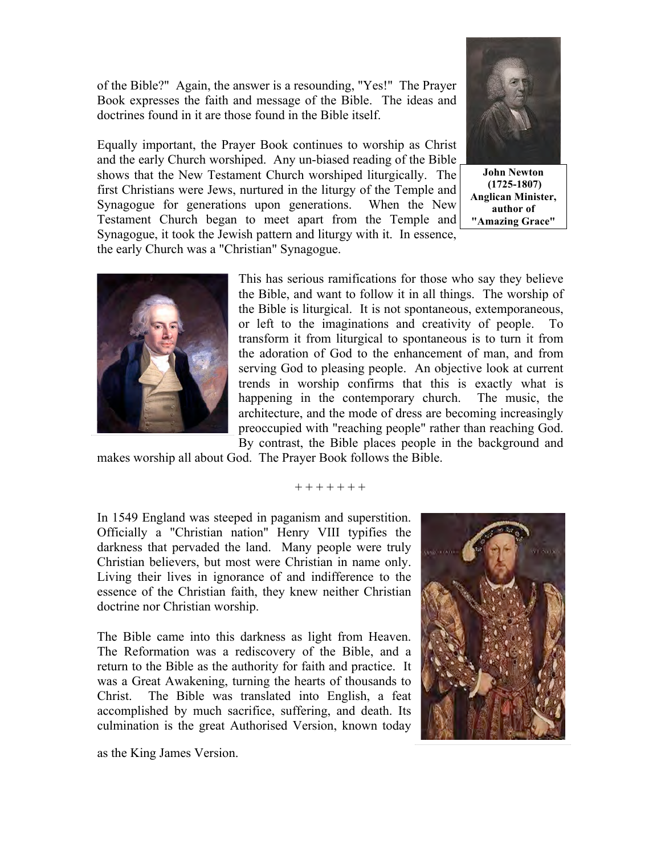of the Bible?" Again, the answer is a resounding, "Yes!" The Prayer Book expresses the faith and message of the Bible. The ideas and doctrines found in it are those found in the Bible itself.

Equally important, the Prayer Book continues to worship as Christ and the early Church worshiped. Any un-biased reading of the Bible shows that the New Testament Church worshiped liturgically. The first Christians were Jews, nurtured in the liturgy of the Temple and Synagogue for generations upon generations. When the New Testament Church began to meet apart from the Temple and Synagogue, it took the Jewish pattern and liturgy with it. In essence, the early Church was a "Christian" Synagogue.



**John Newton (1725-1807) Anglican Minister, author of "Amazing Grace"**



This has serious ramifications for those who say they believe the Bible, and want to follow it in all things. The worship of the Bible is liturgical. It is not spontaneous, extemporaneous, or left to the imaginations and creativity of people. To transform it from liturgical to spontaneous is to turn it from the adoration of God to the enhancement of man, and from serving God to pleasing people. An objective look at current trends in worship confirms that this is exactly what is happening in the contemporary church. The music, the architecture, and the mode of dress are becoming increasingly preoccupied with "reaching people" rather than reaching God. By contrast, the Bible places people in the background and

makes worship all about God. The Prayer Book follows the Bible. **English Social Reformer**

+ + + + + + +

In 1549 England was steeped in paganism and superstition. Officially a "Christian nation" Henry VIII typifies the darkness that pervaded the land. Many people were truly Christian believers, but most were Christian in name only. Living their lives in ignorance of and indifference to the essence of the Christian faith, they knew neither Christian doctrine nor Christian worship.

The Bible came into this darkness as light from Heaven. The Reformation was a rediscovery of the Bible, and a return to the Bible as the authority for faith and practice. It was a Great Awakening, turning the hearts of thousands to Christ. The Bible was translated into English, a feat accomplished by much sacrifice, suffering, and death. Its culmination is the great Authorised Version, known today



as the King James Version.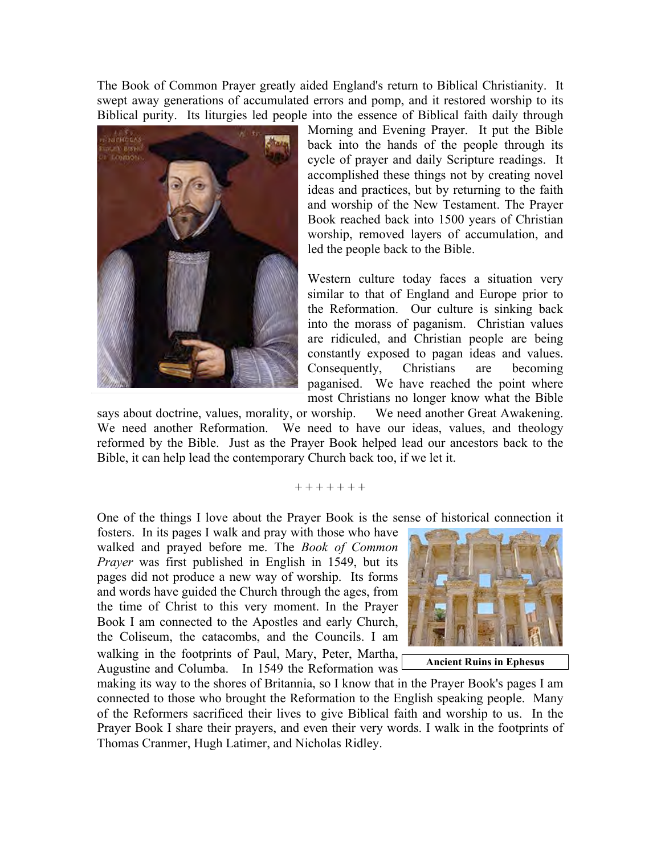The Book of Common Prayer greatly aided England's return to Biblical Christianity. It swept away generations of accumulated errors and pomp, and it restored worship to its Biblical purity. Its liturgies led people into the essence of Biblical faith daily through



Morning and Evening Prayer. It put the Bible back into the hands of the people through its cycle of prayer and daily Scripture readings. It accomplished these things not by creating novel ideas and practices, but by returning to the faith and worship of the New Testament. The Prayer Book reached back into 1500 years of Christian worship, removed layers of accumulation, and led the people back to the Bible.

Western culture today faces a situation very similar to that of England and Europe prior to the Reformation. Our culture is sinking back into the morass of paganism. Christian values are ridiculed, and Christian people are being constantly exposed to pagan ideas and values. Consequently, Christians are becoming paganised. We have reached the point where most Christians no longer know what the Bible

says about doctrine, values, morality, or worship. We need another Great Awakening. We need another Reformation. We need to have our ideas, values, and theology reformed by the Bible. Just as the Prayer Book helped lead our ancestors back to the Bible, it can help lead the contemporary Church back too, if we let it.

## + + + + + + +

One of the things I love about the Prayer Book is the sense of historical connection it

fosters. In its pages I walk and pray with those who have walked and prayed before me. The *Book of Common Prayer* was first published in English in 1549, but its pages did not produce a new way of worship. Its forms and words have guided the Church through the ages, from the time of Christ to this very moment. In the Prayer Book I am connected to the Apostles and early Church, the Coliseum, the catacombs, and the Councils. I am walking in the footprints of Paul, Mary, Peter, Martha, Augustine and Columba. In 1549 the Reformation was



**Ancient Ruins in Ephesus**

making its way to the shores of Britannia, so I know that in the Prayer Book's pages I am connected to those who brought the Reformation to the English speaking people. Many of the Reformers sacrificed their lives to give Biblical faith and worship to us. In the Prayer Book I share their prayers, and even their very words. I walk in the footprints of Thomas Cranmer, Hugh Latimer, and Nicholas Ridley.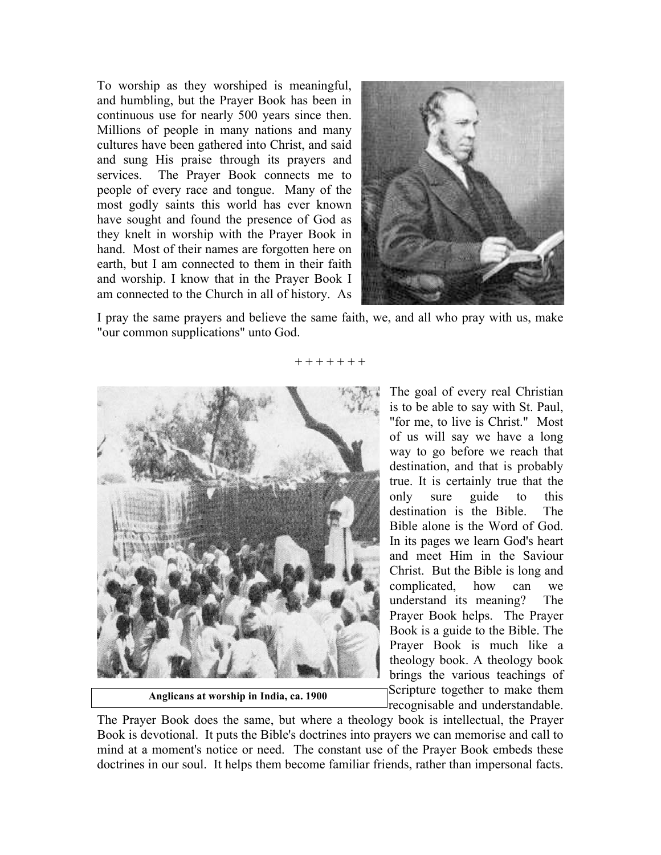To worship as they worshiped is meaningful, and humbling, but the Prayer Book has been in continuous use for nearly 500 years since then. Millions of people in many nations and many cultures have been gathered into Christ, and said and sung His praise through its prayers and services. The Prayer Book connects me to people of every race and tongue. Many of the most godly saints this world has ever known have sought and found the presence of God as they knelt in worship with the Prayer Book in hand. Most of their names are forgotten here on earth, but I am connected to them in their faith and worship. I know that in the Prayer Book I am connected to the Church in all of history. As



I pray the same prayers and believe the same faith, we, and all who pray with us, make "our common supplications" unto God.



**Anglicans at worship in India, ca. 1900**

The goal of every real Christian is to be able to say with St. Paul, "for me, to live is Christ." Most of us will say we have a long way to go before we reach that destination, and that is probably true. It is certainly true that the only sure guide to this destination is the Bible. The Bible alone is the Word of God. In its pages we learn God's heart and meet Him in the Saviour Christ. But the Bible is long and complicated, how can we understand its meaning? The Prayer Book helps. The Prayer Book is a guide to the Bible. The Prayer Book is much like a theology book. A theology book brings the various teachings of Scripture together to make them recognisable and understandable.

The Prayer Book does the same, but where a theology book is intellectual, the Prayer Book is devotional. It puts the Bible's doctrines into prayers we can memorise and call to mind at a moment's notice or need. The constant use of the Prayer Book embeds these doctrines in our soul. It helps them become familiar friends, rather than impersonal facts.

+ + + + + + +